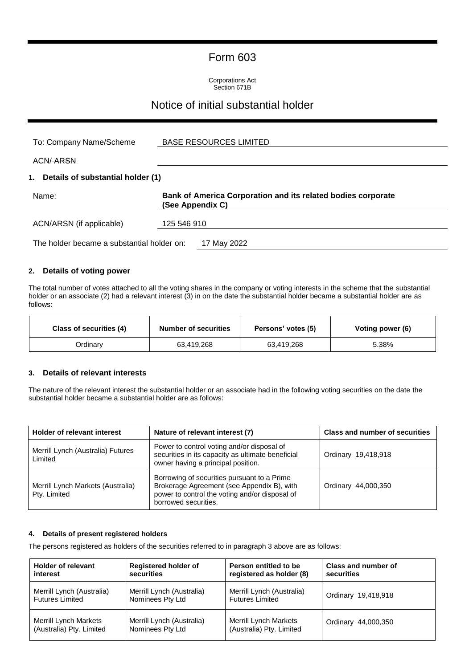### Form 603

Corporations Act Section 671B

### Notice of initial substantial holder

| To: Company Name/Scheme                    | <b>BASE RESOURCES LIMITED</b>                                                    |
|--------------------------------------------|----------------------------------------------------------------------------------|
| ACN/ <del>ARSN</del>                       |                                                                                  |
| 1. Details of substantial holder (1)       |                                                                                  |
| Name:                                      | Bank of America Corporation and its related bodies corporate<br>(See Appendix C) |
| ACN/ARSN (if applicable)                   | 125 546 910                                                                      |
| The holder became a substantial holder on: | 17 May 2022                                                                      |

#### **2. Details of voting power**

The total number of votes attached to all the voting shares in the company or voting interests in the scheme that the substantial holder or an associate (2) had a relevant interest (3) in on the date the substantial holder became a substantial holder are as follows:

| Class of securities (4) | <b>Number of securities</b> | Persons' votes (5) | Voting power (6) |
|-------------------------|-----------------------------|--------------------|------------------|
| Ordinary                | 63.419.268                  | 63,419,268         | 5.38%            |

#### **3. Details of relevant interests**

The nature of the relevant interest the substantial holder or an associate had in the following voting securities on the date the substantial holder became a substantial holder are as follows:

| <b>Holder of relevant interest</b>                | Nature of relevant interest (7)                                                                                                                                     | <b>Class and number of securities</b> |
|---------------------------------------------------|---------------------------------------------------------------------------------------------------------------------------------------------------------------------|---------------------------------------|
| Merrill Lynch (Australia) Futures<br>Limited      | Power to control voting and/or disposal of<br>securities in its capacity as ultimate beneficial<br>owner having a principal position.                               | Ordinary 19,418,918                   |
| Merrill Lynch Markets (Australia)<br>Pty. Limited | Borrowing of securities pursuant to a Prime<br>Brokerage Agreement (see Appendix B), with<br>power to control the voting and/or disposal of<br>borrowed securities. | Ordinary 44,000,350                   |

#### **4. Details of present registered holders**

The persons registered as holders of the securities referred to in paragraph 3 above are as follows:

| <b>Holder of relevant</b>    | <b>Registered holder of</b> | Person entitled to be        | Class and number of |
|------------------------------|-----------------------------|------------------------------|---------------------|
| interest                     | securities                  | registered as holder (8)     | securities          |
| Merrill Lynch (Australia)    | Merrill Lynch (Australia)   | Merrill Lynch (Australia)    | Ordinary 19,418,918 |
| <b>Futures Limited</b>       | Nominees Pty Ltd            | <b>Futures Limited</b>       |                     |
| <b>Merrill Lynch Markets</b> | Merrill Lynch (Australia)   | <b>Merrill Lynch Markets</b> | Ordinary 44,000,350 |
| (Australia) Pty. Limited     | Nominees Pty Ltd            | (Australia) Pty. Limited     |                     |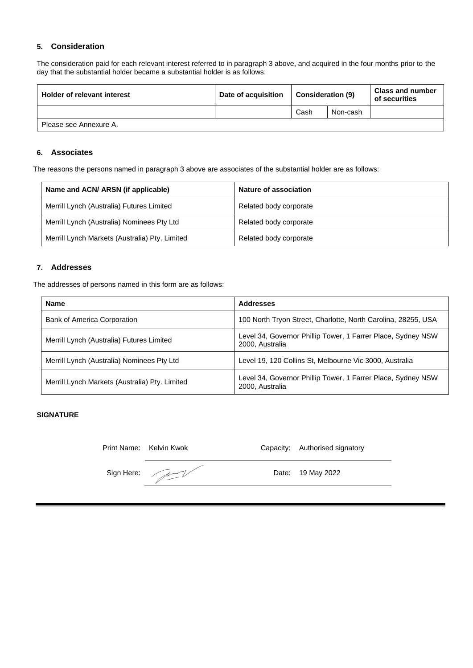#### **5. Consideration**

The consideration paid for each relevant interest referred to in paragraph 3 above, and acquired in the four months prior to the day that the substantial holder became a substantial holder is as follows:

| Holder of relevant interest | Date of acquisition | Consideration (9) |          | <b>Class and number</b><br>of securities |
|-----------------------------|---------------------|-------------------|----------|------------------------------------------|
|                             |                     | Cash              | Non-cash |                                          |
| Please see Annexure A.      |                     |                   |          |                                          |

#### **6. Associates**

The reasons the persons named in paragraph 3 above are associates of the substantial holder are as follows:

| Name and ACN/ ARSN (if applicable)             | <b>Nature of association</b> |
|------------------------------------------------|------------------------------|
| Merrill Lynch (Australia) Futures Limited      | Related body corporate       |
| Merrill Lynch (Australia) Nominees Pty Ltd     | Related body corporate       |
| Merrill Lynch Markets (Australia) Pty. Limited | Related body corporate       |

#### **7. Addresses**

The addresses of persons named in this form are as follows:

| <b>Name</b>                                    | <b>Addresses</b>                                                                |
|------------------------------------------------|---------------------------------------------------------------------------------|
| <b>Bank of America Corporation</b>             | 100 North Tryon Street, Charlotte, North Carolina, 28255, USA                   |
| Merrill Lynch (Australia) Futures Limited      | Level 34, Governor Phillip Tower, 1 Farrer Place, Sydney NSW<br>2000, Australia |
| Merrill Lynch (Australia) Nominees Pty Ltd     | Level 19, 120 Collins St, Melbourne Vic 3000, Australia                         |
| Merrill Lynch Markets (Australia) Pty. Limited | Level 34, Governor Phillip Tower, 1 Farrer Place, Sydney NSW<br>2000, Australia |

#### **SIGNATURE**

| Print Name: Kelvin Kwok | Capacity: Authorised signatory |
|-------------------------|--------------------------------|
| Sign Here:              | Date: 19 May 2022              |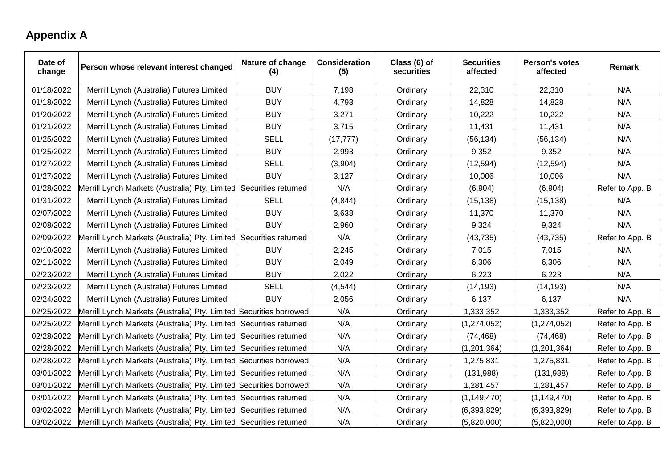# **Appendix A**

| Date of<br>change | Person whose relevant interest changed                             | Nature of change<br>(4) | <b>Consideration</b><br>(5) | Class (6) of<br>securities | <b>Securities</b><br>affected | Person's votes<br>affected | Remark          |
|-------------------|--------------------------------------------------------------------|-------------------------|-----------------------------|----------------------------|-------------------------------|----------------------------|-----------------|
| 01/18/2022        | Merrill Lynch (Australia) Futures Limited                          | <b>BUY</b>              | 7,198                       | Ordinary                   | 22,310                        | 22,310                     | N/A             |
| 01/18/2022        | Merrill Lynch (Australia) Futures Limited                          | <b>BUY</b>              | 4,793                       | Ordinary                   | 14,828                        | 14,828                     | N/A             |
| 01/20/2022        | Merrill Lynch (Australia) Futures Limited                          | <b>BUY</b>              | 3,271                       | Ordinary                   | 10,222                        | 10,222                     | N/A             |
| 01/21/2022        | Merrill Lynch (Australia) Futures Limited                          | <b>BUY</b>              | 3,715                       | Ordinary                   | 11,431                        | 11,431                     | N/A             |
| 01/25/2022        | Merrill Lynch (Australia) Futures Limited                          | <b>SELL</b>             | (17, 777)                   | Ordinary                   | (56, 134)                     | (56, 134)                  | N/A             |
| 01/25/2022        | Merrill Lynch (Australia) Futures Limited                          | <b>BUY</b>              | 2,993                       | Ordinary                   | 9,352                         | 9,352                      | N/A             |
| 01/27/2022        | Merrill Lynch (Australia) Futures Limited                          | <b>SELL</b>             | (3,904)                     | Ordinary                   | (12, 594)                     | (12, 594)                  | N/A             |
| 01/27/2022        | Merrill Lynch (Australia) Futures Limited                          | <b>BUY</b>              | 3,127                       | Ordinary                   | 10,006                        | 10,006                     | N/A             |
| 01/28/2022        | Merrill Lynch Markets (Australia) Pty. Limited                     | Securities returned     | N/A                         | Ordinary                   | (6,904)                       | (6,904)                    | Refer to App. B |
| 01/31/2022        | Merrill Lynch (Australia) Futures Limited                          | <b>SELL</b>             | (4, 844)                    | Ordinary                   | (15, 138)                     | (15, 138)                  | N/A             |
| 02/07/2022        | Merrill Lynch (Australia) Futures Limited                          | <b>BUY</b>              | 3,638                       | Ordinary                   | 11,370                        | 11,370                     | N/A             |
| 02/08/2022        | Merrill Lynch (Australia) Futures Limited                          | <b>BUY</b>              | 2,960                       | Ordinary                   | 9,324                         | 9,324                      | N/A             |
| 02/09/2022        | Merrill Lynch Markets (Australia) Pty. Limited                     | Securities returned     | N/A                         | Ordinary                   | (43, 735)                     | (43, 735)                  | Refer to App. B |
| 02/10/2022        | Merrill Lynch (Australia) Futures Limited                          | <b>BUY</b>              | 2,245                       | Ordinary                   | 7,015                         | 7,015                      | N/A             |
| 02/11/2022        | Merrill Lynch (Australia) Futures Limited                          | <b>BUY</b>              | 2,049                       | Ordinary                   | 6,306                         | 6,306                      | N/A             |
| 02/23/2022        | Merrill Lynch (Australia) Futures Limited                          | <b>BUY</b>              | 2,022                       | Ordinary                   | 6,223                         | 6,223                      | N/A             |
| 02/23/2022        | Merrill Lynch (Australia) Futures Limited                          | <b>SELL</b>             | (4, 544)                    | Ordinary                   | (14, 193)                     | (14, 193)                  | N/A             |
| 02/24/2022        | Merrill Lynch (Australia) Futures Limited                          | <b>BUY</b>              | 2,056                       | Ordinary                   | 6,137                         | 6,137                      | N/A             |
| 02/25/2022        | Merrill Lynch Markets (Australia) Pty. Limited Securities borrowed |                         | N/A                         | Ordinary                   | 1,333,352                     | 1,333,352                  | Refer to App. B |
| 02/25/2022        | Merrill Lynch Markets (Australia) Pty. Limited Securities returned |                         | N/A                         | Ordinary                   | (1, 274, 052)                 | (1, 274, 052)              | Refer to App. B |
| 02/28/2022        | Merrill Lynch Markets (Australia) Pty. Limited                     | Securities returned     | N/A                         | Ordinary                   | (74, 468)                     | (74, 468)                  | Refer to App. B |
| 02/28/2022        | Merrill Lynch Markets (Australia) Pty. Limited Securities returned |                         | N/A                         | Ordinary                   | (1,201,364)                   | (1, 201, 364)              | Refer to App. B |
| 02/28/2022        | Merrill Lynch Markets (Australia) Pty. Limited Securities borrowed |                         | N/A                         | Ordinary                   | 1,275,831                     | 1,275,831                  | Refer to App. B |
| 03/01/2022        | Merrill Lynch Markets (Australia) Pty. Limited Securities returned |                         | N/A                         | Ordinary                   | (131,988)                     | (131,988)                  | Refer to App. B |
| 03/01/2022        | Merrill Lynch Markets (Australia) Pty. Limited Securities borrowed |                         | N/A                         | Ordinary                   | 1,281,457                     | 1,281,457                  | Refer to App. B |
| 03/01/2022        | Merrill Lynch Markets (Australia) Pty. Limited Securities returned |                         | N/A                         | Ordinary                   | (1, 149, 470)                 | (1, 149, 470)              | Refer to App. B |
| 03/02/2022        | Merrill Lynch Markets (Australia) Pty. Limited Securities returned |                         | N/A                         | Ordinary                   | (6, 393, 829)                 | (6, 393, 829)              | Refer to App. B |
| 03/02/2022        | Merrill Lynch Markets (Australia) Pty. Limited Securities returned |                         | N/A                         | Ordinary                   | (5,820,000)                   | (5,820,000)                | Refer to App. B |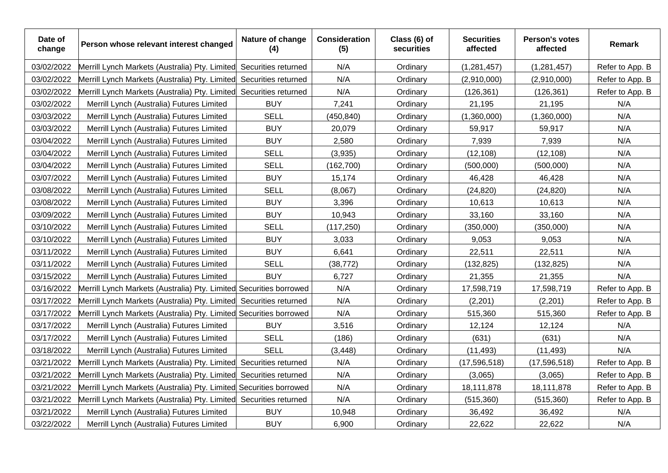| Date of<br>change | Person whose relevant interest changed                             | Nature of change<br>(4) | <b>Consideration</b><br>(5) | Class (6) of<br>securities | <b>Securities</b><br>affected | <b>Person's votes</b><br>affected | Remark          |
|-------------------|--------------------------------------------------------------------|-------------------------|-----------------------------|----------------------------|-------------------------------|-----------------------------------|-----------------|
| 03/02/2022        | Merrill Lynch Markets (Australia) Pty. Limited                     | Securities returned     | N/A                         | Ordinary                   | (1, 281, 457)                 | (1, 281, 457)                     | Refer to App. B |
| 03/02/2022        | Merrill Lynch Markets (Australia) Pty. Limited                     | Securities returned     | N/A                         | Ordinary                   | (2,910,000)                   | (2,910,000)                       | Refer to App. B |
| 03/02/2022        | Merrill Lynch Markets (Australia) Pty. Limited                     | Securities returned     | N/A                         | Ordinary                   | (126, 361)                    | (126, 361)                        | Refer to App. B |
| 03/02/2022        | Merrill Lynch (Australia) Futures Limited                          | <b>BUY</b>              | 7,241                       | Ordinary                   | 21,195                        | 21,195                            | N/A             |
| 03/03/2022        | Merrill Lynch (Australia) Futures Limited                          | <b>SELL</b>             | (450, 840)                  | Ordinary                   | (1,360,000)                   | (1,360,000)                       | N/A             |
| 03/03/2022        | Merrill Lynch (Australia) Futures Limited                          | <b>BUY</b>              | 20,079                      | Ordinary                   | 59,917                        | 59,917                            | N/A             |
| 03/04/2022        | Merrill Lynch (Australia) Futures Limited                          | <b>BUY</b>              | 2,580                       | Ordinary                   | 7,939                         | 7,939                             | N/A             |
| 03/04/2022        | Merrill Lynch (Australia) Futures Limited                          | <b>SELL</b>             | (3,935)                     | Ordinary                   | (12, 108)                     | (12, 108)                         | N/A             |
| 03/04/2022        | Merrill Lynch (Australia) Futures Limited                          | <b>SELL</b>             | (162, 700)                  | Ordinary                   | (500,000)                     | (500,000)                         | N/A             |
| 03/07/2022        | Merrill Lynch (Australia) Futures Limited                          | <b>BUY</b>              | 15,174                      | Ordinary                   | 46,428                        | 46,428                            | N/A             |
| 03/08/2022        | Merrill Lynch (Australia) Futures Limited                          | <b>SELL</b>             | (8,067)                     | Ordinary                   | (24, 820)                     | (24, 820)                         | N/A             |
| 03/08/2022        | Merrill Lynch (Australia) Futures Limited                          | <b>BUY</b>              | 3,396                       | Ordinary                   | 10,613                        | 10,613                            | N/A             |
| 03/09/2022        | Merrill Lynch (Australia) Futures Limited                          | <b>BUY</b>              | 10,943                      | Ordinary                   | 33,160                        | 33,160                            | N/A             |
| 03/10/2022        | Merrill Lynch (Australia) Futures Limited                          | <b>SELL</b>             | (117, 250)                  | Ordinary                   | (350,000)                     | (350,000)                         | N/A             |
| 03/10/2022        | Merrill Lynch (Australia) Futures Limited                          | <b>BUY</b>              | 3,033                       | Ordinary                   | 9,053                         | 9,053                             | N/A             |
| 03/11/2022        | Merrill Lynch (Australia) Futures Limited                          | <b>BUY</b>              | 6,641                       | Ordinary                   | 22,511                        | 22,511                            | N/A             |
| 03/11/2022        | Merrill Lynch (Australia) Futures Limited                          | <b>SELL</b>             | (38, 772)                   | Ordinary                   | (132, 825)                    | (132, 825)                        | N/A             |
| 03/15/2022        | Merrill Lynch (Australia) Futures Limited                          | <b>BUY</b>              | 6,727                       | Ordinary                   | 21,355                        | 21,355                            | N/A             |
| 03/16/2022        | Merrill Lynch Markets (Australia) Pty. Limited Securities borrowed |                         | N/A                         | Ordinary                   | 17,598,719                    | 17,598,719                        | Refer to App. B |
| 03/17/2022        | Merrill Lynch Markets (Australia) Pty. Limited Securities returned |                         | N/A                         | Ordinary                   | (2,201)                       | (2,201)                           | Refer to App. B |
| 03/17/2022        | Merrill Lynch Markets (Australia) Pty. Limited Securities borrowed |                         | N/A                         | Ordinary                   | 515,360                       | 515,360                           | Refer to App. B |
| 03/17/2022        | Merrill Lynch (Australia) Futures Limited                          | <b>BUY</b>              | 3,516                       | Ordinary                   | 12,124                        | 12,124                            | N/A             |
| 03/17/2022        | Merrill Lynch (Australia) Futures Limited                          | <b>SELL</b>             | (186)                       | Ordinary                   | (631)                         | (631)                             | N/A             |
| 03/18/2022        | Merrill Lynch (Australia) Futures Limited                          | <b>SELL</b>             | (3, 448)                    | Ordinary                   | (11, 493)                     | (11, 493)                         | N/A             |
| 03/21/2022        | Merrill Lynch Markets (Australia) Pty. Limited                     | Securities returned     | N/A                         | Ordinary                   | (17, 596, 518)                | (17, 596, 518)                    | Refer to App. B |
| 03/21/2022        | Merrill Lynch Markets (Australia) Pty. Limited                     | Securities returned     | N/A                         | Ordinary                   | (3,065)                       | (3,065)                           | Refer to App. B |
| 03/21/2022        | Merrill Lynch Markets (Australia) Pty. Limited Securities borrowed |                         | N/A                         | Ordinary                   | 18,111,878                    | 18,111,878                        | Refer to App. B |
| 03/21/2022        | Merrill Lynch Markets (Australia) Pty. Limited Securities returned |                         | N/A                         | Ordinary                   | (515, 360)                    | (515, 360)                        | Refer to App. B |
| 03/21/2022        | Merrill Lynch (Australia) Futures Limited                          | <b>BUY</b>              | 10,948                      | Ordinary                   | 36,492                        | 36,492                            | N/A             |
| 03/22/2022        | Merrill Lynch (Australia) Futures Limited                          | <b>BUY</b>              | 6,900                       | Ordinary                   | 22,622                        | 22,622                            | N/A             |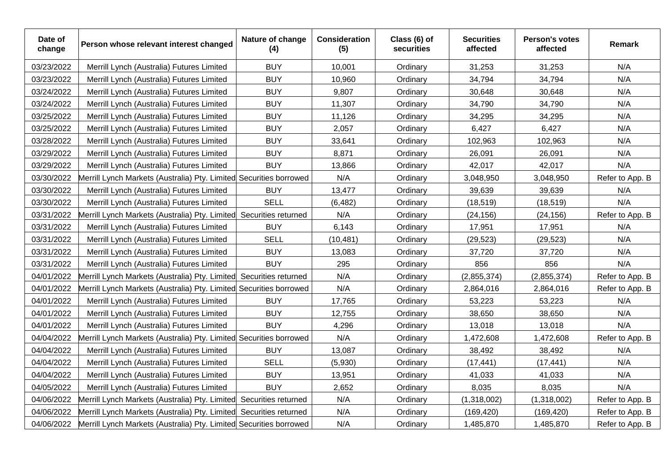| Date of<br>change | Person whose relevant interest changed                             | Nature of change<br>(4) | <b>Consideration</b><br>(5) | Class (6) of<br>securities | <b>Securities</b><br>affected | Person's votes<br>affected | <b>Remark</b>   |
|-------------------|--------------------------------------------------------------------|-------------------------|-----------------------------|----------------------------|-------------------------------|----------------------------|-----------------|
| 03/23/2022        | Merrill Lynch (Australia) Futures Limited                          | <b>BUY</b>              | 10,001                      | Ordinary                   | 31,253                        | 31,253                     | N/A             |
| 03/23/2022        | Merrill Lynch (Australia) Futures Limited                          | <b>BUY</b>              | 10,960                      | Ordinary                   | 34,794                        | 34,794                     | N/A             |
| 03/24/2022        | Merrill Lynch (Australia) Futures Limited                          | <b>BUY</b>              | 9,807                       | Ordinary                   | 30,648                        | 30,648                     | N/A             |
| 03/24/2022        | Merrill Lynch (Australia) Futures Limited                          | <b>BUY</b>              | 11,307                      | Ordinary                   | 34,790                        | 34,790                     | N/A             |
| 03/25/2022        | Merrill Lynch (Australia) Futures Limited                          | <b>BUY</b>              | 11,126                      | Ordinary                   | 34,295                        | 34,295                     | N/A             |
| 03/25/2022        | Merrill Lynch (Australia) Futures Limited                          | <b>BUY</b>              | 2,057                       | Ordinary                   | 6,427                         | 6,427                      | N/A             |
| 03/28/2022        | Merrill Lynch (Australia) Futures Limited                          | <b>BUY</b>              | 33,641                      | Ordinary                   | 102,963                       | 102,963                    | N/A             |
| 03/29/2022        | Merrill Lynch (Australia) Futures Limited                          | <b>BUY</b>              | 8,871                       | Ordinary                   | 26,091                        | 26,091                     | N/A             |
| 03/29/2022        | Merrill Lynch (Australia) Futures Limited                          | <b>BUY</b>              | 13,866                      | Ordinary                   | 42,017                        | 42,017                     | N/A             |
| 03/30/2022        | Merrill Lynch Markets (Australia) Pty. Limited Securities borrowed |                         | N/A                         | Ordinary                   | 3,048,950                     | 3,048,950                  | Refer to App. B |
| 03/30/2022        | Merrill Lynch (Australia) Futures Limited                          | <b>BUY</b>              | 13,477                      | Ordinary                   | 39,639                        | 39,639                     | N/A             |
| 03/30/2022        | Merrill Lynch (Australia) Futures Limited                          | <b>SELL</b>             | (6, 482)                    | Ordinary                   | (18, 519)                     | (18, 519)                  | N/A             |
| 03/31/2022        | Merrill Lynch Markets (Australia) Pty. Limited                     | Securities returned     | N/A                         | Ordinary                   | (24, 156)                     | (24, 156)                  | Refer to App. B |
| 03/31/2022        | Merrill Lynch (Australia) Futures Limited                          | <b>BUY</b>              | 6,143                       | Ordinary                   | 17,951                        | 17,951                     | N/A             |
| 03/31/2022        | Merrill Lynch (Australia) Futures Limited                          | <b>SELL</b>             | (10, 481)                   | Ordinary                   | (29, 523)                     | (29, 523)                  | N/A             |
| 03/31/2022        | Merrill Lynch (Australia) Futures Limited                          | <b>BUY</b>              | 13,083                      | Ordinary                   | 37,720                        | 37,720                     | N/A             |
| 03/31/2022        | Merrill Lynch (Australia) Futures Limited                          | <b>BUY</b>              | 295                         | Ordinary                   | 856                           | 856                        | N/A             |
| 04/01/2022        | Merrill Lynch Markets (Australia) Pty. Limited                     | Securities returned     | N/A                         | Ordinary                   | (2,855,374)                   | (2,855,374)                | Refer to App. B |
| 04/01/2022        | Merrill Lynch Markets (Australia) Pty. Limited Securities borrowed |                         | N/A                         | Ordinary                   | 2,864,016                     | 2,864,016                  | Refer to App. B |
| 04/01/2022        | Merrill Lynch (Australia) Futures Limited                          | <b>BUY</b>              | 17,765                      | Ordinary                   | 53,223                        | 53,223                     | N/A             |
| 04/01/2022        | Merrill Lynch (Australia) Futures Limited                          | <b>BUY</b>              | 12,755                      | Ordinary                   | 38,650                        | 38,650                     | N/A             |
| 04/01/2022        | Merrill Lynch (Australia) Futures Limited                          | <b>BUY</b>              | 4,296                       | Ordinary                   | 13,018                        | 13,018                     | N/A             |
| 04/04/2022        | Merrill Lynch Markets (Australia) Pty. Limited Securities borrowed |                         | N/A                         | Ordinary                   | 1,472,608                     | 1,472,608                  | Refer to App. B |
| 04/04/2022        | Merrill Lynch (Australia) Futures Limited                          | <b>BUY</b>              | 13,087                      | Ordinary                   | 38,492                        | 38,492                     | N/A             |
| 04/04/2022        | Merrill Lynch (Australia) Futures Limited                          | <b>SELL</b>             | (5,930)                     | Ordinary                   | (17, 441)                     | (17, 441)                  | N/A             |
| 04/04/2022        | Merrill Lynch (Australia) Futures Limited                          | <b>BUY</b>              | 13,951                      | Ordinary                   | 41,033                        | 41,033                     | N/A             |
| 04/05/2022        | Merrill Lynch (Australia) Futures Limited                          | <b>BUY</b>              | 2,652                       | Ordinary                   | 8,035                         | 8,035                      | N/A             |
| 04/06/2022        | Merrill Lynch Markets (Australia) Pty. Limited                     | Securities returned     | N/A                         | Ordinary                   | (1,318,002)                   | (1,318,002)                | Refer to App. B |
| 04/06/2022        | Merrill Lynch Markets (Australia) Pty. Limited Securities returned |                         | N/A                         | Ordinary                   | (169, 420)                    | (169, 420)                 | Refer to App. B |
| 04/06/2022        | Merrill Lynch Markets (Australia) Pty. Limited Securities borrowed |                         | N/A                         | Ordinary                   | 1,485,870                     | 1,485,870                  | Refer to App. B |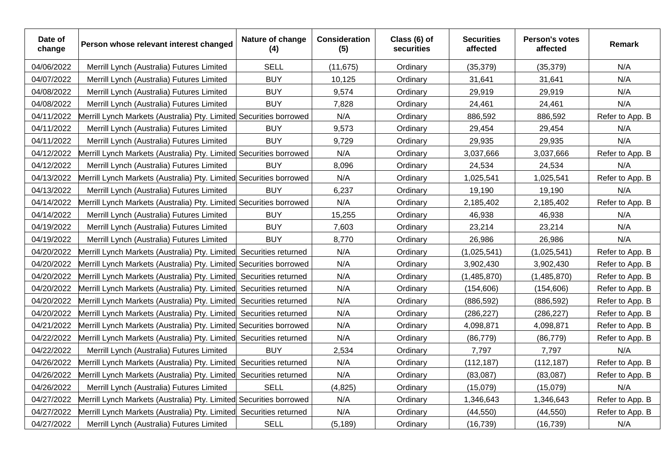| Date of<br>change | Person whose relevant interest changed                             | Nature of change<br>(4) | <b>Consideration</b><br>(5) | Class (6) of<br>securities | <b>Securities</b><br>affected | Person's votes<br>affected | Remark          |
|-------------------|--------------------------------------------------------------------|-------------------------|-----------------------------|----------------------------|-------------------------------|----------------------------|-----------------|
| 04/06/2022        | Merrill Lynch (Australia) Futures Limited                          | <b>SELL</b>             | (11, 675)                   | Ordinary                   | (35, 379)                     | (35, 379)                  | N/A             |
| 04/07/2022        | Merrill Lynch (Australia) Futures Limited                          | <b>BUY</b>              | 10,125                      | Ordinary                   | 31,641                        | 31,641                     | N/A             |
| 04/08/2022        | Merrill Lynch (Australia) Futures Limited                          | <b>BUY</b>              | 9,574                       | Ordinary                   | 29,919                        | 29,919                     | N/A             |
| 04/08/2022        | Merrill Lynch (Australia) Futures Limited                          | <b>BUY</b>              | 7,828                       | Ordinary                   | 24,461                        | 24,461                     | N/A             |
| 04/11/2022        | Merrill Lynch Markets (Australia) Pty. Limited Securities borrowed |                         | N/A                         | Ordinary                   | 886,592                       | 886,592                    | Refer to App. B |
| 04/11/2022        | Merrill Lynch (Australia) Futures Limited                          | <b>BUY</b>              | 9,573                       | Ordinary                   | 29,454                        | 29,454                     | N/A             |
| 04/11/2022        | Merrill Lynch (Australia) Futures Limited                          | <b>BUY</b>              | 9,729                       | Ordinary                   | 29,935                        | 29,935                     | N/A             |
| 04/12/2022        | Merrill Lynch Markets (Australia) Pty. Limited Securities borrowed |                         | N/A                         | Ordinary                   | 3,037,666                     | 3,037,666                  | Refer to App. B |
| 04/12/2022        | Merrill Lynch (Australia) Futures Limited                          | <b>BUY</b>              | 8,096                       | Ordinary                   | 24,534                        | 24,534                     | N/A             |
| 04/13/2022        | Merrill Lynch Markets (Australia) Pty. Limited Securities borrowed |                         | N/A                         | Ordinary                   | 1,025,541                     | 1,025,541                  | Refer to App. B |
| 04/13/2022        | Merrill Lynch (Australia) Futures Limited                          | <b>BUY</b>              | 6,237                       | Ordinary                   | 19,190                        | 19,190                     | N/A             |
| 04/14/2022        | Merrill Lynch Markets (Australia) Pty. Limited Securities borrowed |                         | N/A                         | Ordinary                   | 2,185,402                     | 2,185,402                  | Refer to App. B |
| 04/14/2022        | Merrill Lynch (Australia) Futures Limited                          | <b>BUY</b>              | 15,255                      | Ordinary                   | 46,938                        | 46,938                     | N/A             |
| 04/19/2022        | Merrill Lynch (Australia) Futures Limited                          | <b>BUY</b>              | 7,603                       | Ordinary                   | 23,214                        | 23,214                     | N/A             |
| 04/19/2022        | Merrill Lynch (Australia) Futures Limited                          | <b>BUY</b>              | 8,770                       | Ordinary                   | 26,986                        | 26,986                     | N/A             |
| 04/20/2022        | Merrill Lynch Markets (Australia) Pty. Limited Securities returned |                         | N/A                         | Ordinary                   | (1,025,541)                   | (1,025,541)                | Refer to App. B |
| 04/20/2022        | Merrill Lynch Markets (Australia) Pty. Limited Securities borrowed |                         | N/A                         | Ordinary                   | 3,902,430                     | 3,902,430                  | Refer to App. B |
| 04/20/2022        | Merrill Lynch Markets (Australia) Pty. Limited Securities returned |                         | N/A                         | Ordinary                   | (1,485,870)                   | (1,485,870)                | Refer to App. B |
| 04/20/2022        | Merrill Lynch Markets (Australia) Pty. Limited Securities returned |                         | N/A                         | Ordinary                   | (154, 606)                    | (154, 606)                 | Refer to App. B |
| 04/20/2022        | Merrill Lynch Markets (Australia) Pty. Limited Securities returned |                         | N/A                         | Ordinary                   | (886, 592)                    | (886, 592)                 | Refer to App. B |
| 04/20/2022        | Merrill Lynch Markets (Australia) Pty. Limited Securities returned |                         | N/A                         | Ordinary                   | (286, 227)                    | (286, 227)                 | Refer to App. B |
| 04/21/2022        | Merrill Lynch Markets (Australia) Pty. Limited Securities borrowed |                         | N/A                         | Ordinary                   | 4,098,871                     | 4,098,871                  | Refer to App. B |
| 04/22/2022        | Merrill Lynch Markets (Australia) Pty. Limited Securities returned |                         | N/A                         | Ordinary                   | (86, 779)                     | (86, 779)                  | Refer to App. B |
| 04/22/2022        | Merrill Lynch (Australia) Futures Limited                          | <b>BUY</b>              | 2,534                       | Ordinary                   | 7,797                         | 7,797                      | N/A             |
| 04/26/2022        | Merrill Lynch Markets (Australia) Pty. Limited Securities returned |                         | N/A                         | Ordinary                   | (112, 187)                    | (112, 187)                 | Refer to App. B |
| 04/26/2022        | Merrill Lynch Markets (Australia) Pty. Limited Securities returned |                         | N/A                         | Ordinary                   | (83,087)                      | (83,087)                   | Refer to App. B |
| 04/26/2022        | Merrill Lynch (Australia) Futures Limited                          | <b>SELL</b>             | (4, 825)                    | Ordinary                   | (15,079)                      | (15,079)                   | N/A             |
| 04/27/2022        | Merrill Lynch Markets (Australia) Pty. Limited Securities borrowed |                         | N/A                         | Ordinary                   | 1,346,643                     | 1,346,643                  | Refer to App. B |
| 04/27/2022        | Merrill Lynch Markets (Australia) Pty. Limited Securities returned |                         | N/A                         | Ordinary                   | (44, 550)                     | (44, 550)                  | Refer to App. B |
| 04/27/2022        | Merrill Lynch (Australia) Futures Limited                          | <b>SELL</b>             | (5, 189)                    | Ordinary                   | (16, 739)                     | (16, 739)                  | N/A             |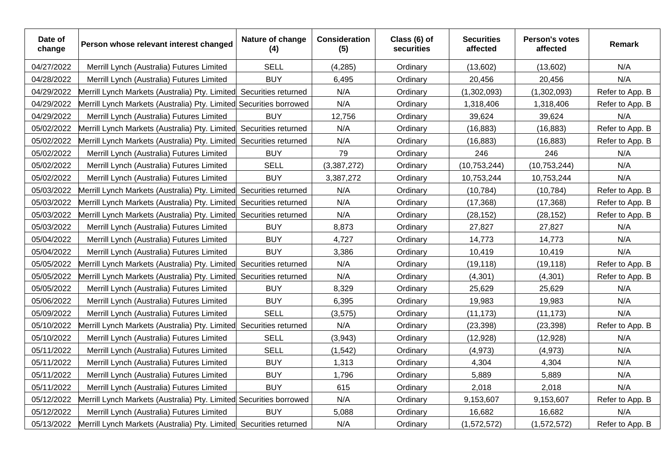| Date of<br>change | Person whose relevant interest changed                             | Nature of change<br>(4) | <b>Consideration</b><br>(5) | Class (6) of<br>securities | <b>Securities</b><br>affected | Person's votes<br>affected | Remark          |
|-------------------|--------------------------------------------------------------------|-------------------------|-----------------------------|----------------------------|-------------------------------|----------------------------|-----------------|
| 04/27/2022        | Merrill Lynch (Australia) Futures Limited                          | <b>SELL</b>             | (4, 285)                    | Ordinary                   | (13,602)                      | (13,602)                   | N/A             |
| 04/28/2022        | Merrill Lynch (Australia) Futures Limited                          | <b>BUY</b>              | 6,495                       | Ordinary                   | 20,456                        | 20,456                     | N/A             |
| 04/29/2022        | Merrill Lynch Markets (Australia) Pty. Limited                     | Securities returned     | N/A                         | Ordinary                   | (1,302,093)                   | (1,302,093)                | Refer to App. B |
| 04/29/2022        | Merrill Lynch Markets (Australia) Pty. Limited Securities borrowed |                         | N/A                         | Ordinary                   | 1,318,406                     | 1,318,406                  | Refer to App. B |
| 04/29/2022        | Merrill Lynch (Australia) Futures Limited                          | <b>BUY</b>              | 12,756                      | Ordinary                   | 39,624                        | 39,624                     | N/A             |
| 05/02/2022        | Merrill Lynch Markets (Australia) Pty. Limited                     | Securities returned     | N/A                         | Ordinary                   | (16, 883)                     | (16, 883)                  | Refer to App. B |
| 05/02/2022        | Merrill Lynch Markets (Australia) Pty. Limited                     | Securities returned     | N/A                         | Ordinary                   | (16, 883)                     | (16, 883)                  | Refer to App. B |
| 05/02/2022        | Merrill Lynch (Australia) Futures Limited                          | <b>BUY</b>              | 79                          | Ordinary                   | 246                           | 246                        | N/A             |
| 05/02/2022        | Merrill Lynch (Australia) Futures Limited                          | <b>SELL</b>             | (3,387,272)                 | Ordinary                   | (10, 753, 244)                | (10, 753, 244)             | N/A             |
| 05/02/2022        | Merrill Lynch (Australia) Futures Limited                          | <b>BUY</b>              | 3,387,272                   | Ordinary                   | 10,753,244                    | 10,753,244                 | N/A             |
| 05/03/2022        | Merrill Lynch Markets (Australia) Pty. Limited                     | Securities returned     | N/A                         | Ordinary                   | (10, 784)                     | (10, 784)                  | Refer to App. B |
| 05/03/2022        | Merrill Lynch Markets (Australia) Pty. Limited                     | Securities returned     | N/A                         | Ordinary                   | (17, 368)                     | (17, 368)                  | Refer to App. B |
| 05/03/2022        | Merrill Lynch Markets (Australia) Pty. Limited                     | Securities returned     | N/A                         | Ordinary                   | (28, 152)                     | (28, 152)                  | Refer to App. B |
| 05/03/2022        | Merrill Lynch (Australia) Futures Limited                          | <b>BUY</b>              | 8,873                       | Ordinary                   | 27,827                        | 27,827                     | N/A             |
| 05/04/2022        | Merrill Lynch (Australia) Futures Limited                          | <b>BUY</b>              | 4,727                       | Ordinary                   | 14,773                        | 14,773                     | N/A             |
| 05/04/2022        | Merrill Lynch (Australia) Futures Limited                          | <b>BUY</b>              | 3,386                       | Ordinary                   | 10,419                        | 10,419                     | N/A             |
| 05/05/2022        | Merrill Lynch Markets (Australia) Pty. Limited                     | Securities returned     | N/A                         | Ordinary                   | (19, 118)                     | (19, 118)                  | Refer to App. B |
| 05/05/2022        | Merrill Lynch Markets (Australia) Pty. Limited                     | Securities returned     | N/A                         | Ordinary                   | (4, 301)                      | (4, 301)                   | Refer to App. B |
| 05/05/2022        | Merrill Lynch (Australia) Futures Limited                          | <b>BUY</b>              | 8,329                       | Ordinary                   | 25,629                        | 25,629                     | N/A             |
| 05/06/2022        | Merrill Lynch (Australia) Futures Limited                          | <b>BUY</b>              | 6,395                       | Ordinary                   | 19,983                        | 19,983                     | N/A             |
| 05/09/2022        | Merrill Lynch (Australia) Futures Limited                          | <b>SELL</b>             | (3, 575)                    | Ordinary                   | (11, 173)                     | (11, 173)                  | N/A             |
| 05/10/2022        | Merrill Lynch Markets (Australia) Pty. Limited                     | Securities returned     | N/A                         | Ordinary                   | (23, 398)                     | (23, 398)                  | Refer to App. B |
| 05/10/2022        | Merrill Lynch (Australia) Futures Limited                          | <b>SELL</b>             | (3,943)                     | Ordinary                   | (12, 928)                     | (12, 928)                  | N/A             |
| 05/11/2022        | Merrill Lynch (Australia) Futures Limited                          | <b>SELL</b>             | (1, 542)                    | Ordinary                   | (4, 973)                      | (4,973)                    | N/A             |
| 05/11/2022        | Merrill Lynch (Australia) Futures Limited                          | <b>BUY</b>              | 1,313                       | Ordinary                   | 4,304                         | 4,304                      | N/A             |
| 05/11/2022        | Merrill Lynch (Australia) Futures Limited                          | <b>BUY</b>              | 1,796                       | Ordinary                   | 5,889                         | 5,889                      | N/A             |
| 05/11/2022        | Merrill Lynch (Australia) Futures Limited                          | <b>BUY</b>              | 615                         | Ordinary                   | 2,018                         | 2,018                      | N/A             |
| 05/12/2022        | Merrill Lynch Markets (Australia) Pty. Limited Securities borrowed |                         | N/A                         | Ordinary                   | 9,153,607                     | 9,153,607                  | Refer to App. B |
| 05/12/2022        | Merrill Lynch (Australia) Futures Limited                          | <b>BUY</b>              | 5,088                       | Ordinary                   | 16,682                        | 16,682                     | N/A             |
| 05/13/2022        | Merrill Lynch Markets (Australia) Pty. Limited Securities returned |                         | N/A                         | Ordinary                   | (1,572,572)                   | (1,572,572)                | Refer to App. B |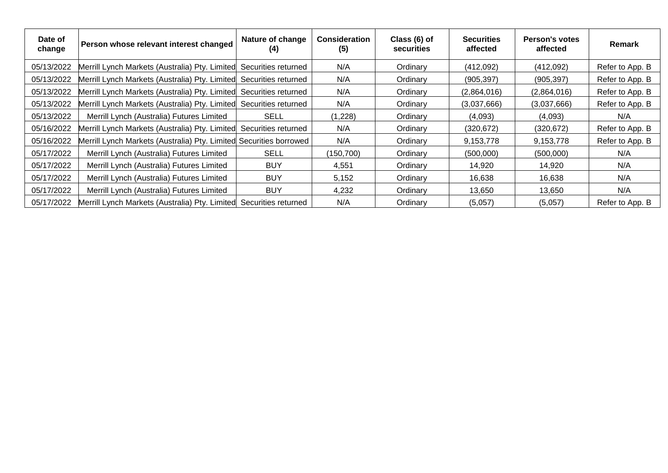| Date of<br>change | Person whose relevant interest changed                             | Nature of change<br>(4) | <b>Consideration</b><br>(5) | Class (6) of<br>securities | <b>Securities</b><br>affected | Person's votes<br>affected | <b>Remark</b>   |
|-------------------|--------------------------------------------------------------------|-------------------------|-----------------------------|----------------------------|-------------------------------|----------------------------|-----------------|
| 05/13/2022        | Merrill Lynch Markets (Australia) Pty. Limited Securities returned |                         | N/A                         | Ordinary                   | (412,092)                     | (412,092)                  | Refer to App. B |
| 05/13/2022        | Merrill Lynch Markets (Australia) Pty. Limited Securities returned |                         | N/A                         | Ordinary                   | (905, 397)                    | (905, 397)                 | Refer to App. B |
| 05/13/2022        | Merrill Lynch Markets (Australia) Pty. Limited Securities returned |                         | N/A                         | Ordinary                   | (2,864,016)                   | (2,864,016)                | Refer to App. B |
| 05/13/2022        | Merrill Lynch Markets (Australia) Pty. Limited Securities returned |                         | N/A                         | Ordinary                   | (3,037,666)                   | (3,037,666)                | Refer to App. B |
| 05/13/2022        | Merrill Lynch (Australia) Futures Limited                          | <b>SELL</b>             | (1,228)                     | Ordinary                   | (4,093)                       | (4,093)                    | N/A             |
| 05/16/2022        | Merrill Lynch Markets (Australia) Pty. Limited Securities returned |                         | N/A                         | Ordinary                   | (320, 672)                    | (320, 672)                 | Refer to App. B |
| 05/16/2022        | Merrill Lynch Markets (Australia) Pty. Limited Securities borrowed |                         | N/A                         | Ordinary                   | 9,153,778                     | 9,153,778                  | Refer to App. B |
| 05/17/2022        | Merrill Lynch (Australia) Futures Limited                          | <b>SELL</b>             | (150,700)                   | Ordinary                   | (500,000)                     | (500,000)                  | N/A             |
| 05/17/2022        | Merrill Lynch (Australia) Futures Limited                          | <b>BUY</b>              | 4,551                       | Ordinary                   | 14,920                        | 14.920                     | N/A             |
| 05/17/2022        | Merrill Lynch (Australia) Futures Limited                          | <b>BUY</b>              | 5,152                       | Ordinary                   | 16,638                        | 16,638                     | N/A             |
| 05/17/2022        | Merrill Lynch (Australia) Futures Limited                          | <b>BUY</b>              | 4,232                       | Ordinary                   | 13,650                        | 13,650                     | N/A             |
| 05/17/2022        | Merrill Lynch Markets (Australia) Pty. Limited Securities returned |                         | N/A                         | Ordinary                   | (5,057)                       | (5,057)                    | Refer to App. B |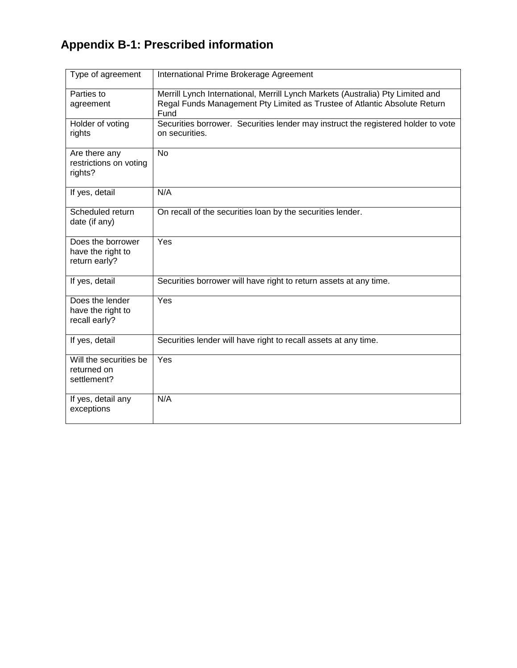## **Appendix B-1: Prescribed information**

| Type of agreement                                       | International Prime Brokerage Agreement                                                                                                                             |
|---------------------------------------------------------|---------------------------------------------------------------------------------------------------------------------------------------------------------------------|
| Parties to<br>agreement                                 | Merrill Lynch International, Merrill Lynch Markets (Australia) Pty Limited and<br>Regal Funds Management Pty Limited as Trustee of Atlantic Absolute Return<br>Fund |
| Holder of voting<br>rights                              | Securities borrower. Securities lender may instruct the registered holder to vote<br>on securities.                                                                 |
| Are there any<br>restrictions on voting<br>rights?      | <b>No</b>                                                                                                                                                           |
| If yes, detail                                          | N/A                                                                                                                                                                 |
| Scheduled return<br>date (if any)                       | On recall of the securities loan by the securities lender.                                                                                                          |
| Does the borrower<br>have the right to<br>return early? | Yes                                                                                                                                                                 |
| If yes, detail                                          | Securities borrower will have right to return assets at any time.                                                                                                   |
| Does the lender<br>have the right to<br>recall early?   | Yes                                                                                                                                                                 |
| If yes, detail                                          | Securities lender will have right to recall assets at any time.                                                                                                     |
| Will the securities be<br>returned on<br>settlement?    | Yes                                                                                                                                                                 |
| If yes, detail any<br>exceptions                        | N/A                                                                                                                                                                 |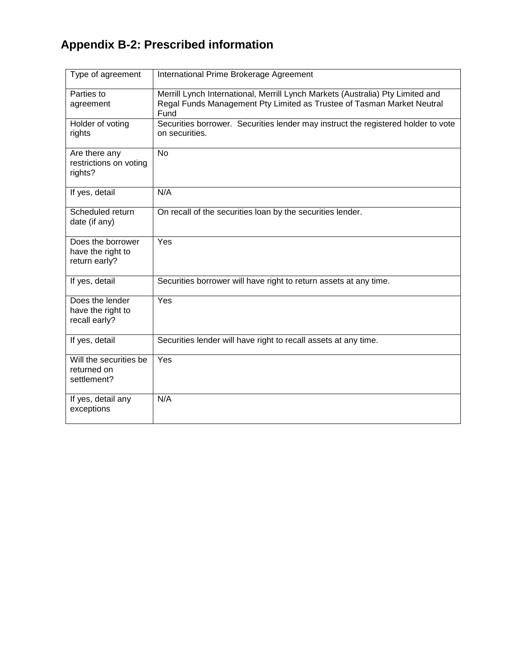## **Appendix B-2: Prescribed information**

| Type of agreement                                       | International Prime Brokerage Agreement                                                                                                                          |
|---------------------------------------------------------|------------------------------------------------------------------------------------------------------------------------------------------------------------------|
| Parties to<br>agreement                                 | Merrill Lynch International, Merrill Lynch Markets (Australia) Pty Limited and<br>Regal Funds Management Pty Limited as Trustee of Tasman Market Neutral<br>Fund |
| Holder of voting<br>rights                              | Securities borrower. Securities lender may instruct the registered holder to vote<br>on securities.                                                              |
| Are there any<br>restrictions on voting<br>rights?      | <b>No</b>                                                                                                                                                        |
| If yes, detail                                          | N/A                                                                                                                                                              |
| Scheduled return<br>date (if any)                       | On recall of the securities loan by the securities lender.                                                                                                       |
| Does the borrower<br>have the right to<br>return early? | Yes                                                                                                                                                              |
| If yes, detail                                          | Securities borrower will have right to return assets at any time.                                                                                                |
| Does the lender<br>have the right to<br>recall early?   | Yes                                                                                                                                                              |
| If yes, detail                                          | Securities lender will have right to recall assets at any time.                                                                                                  |
| Will the securities be<br>returned on<br>settlement?    | Yes                                                                                                                                                              |
| If yes, detail any<br>exceptions                        | N/A                                                                                                                                                              |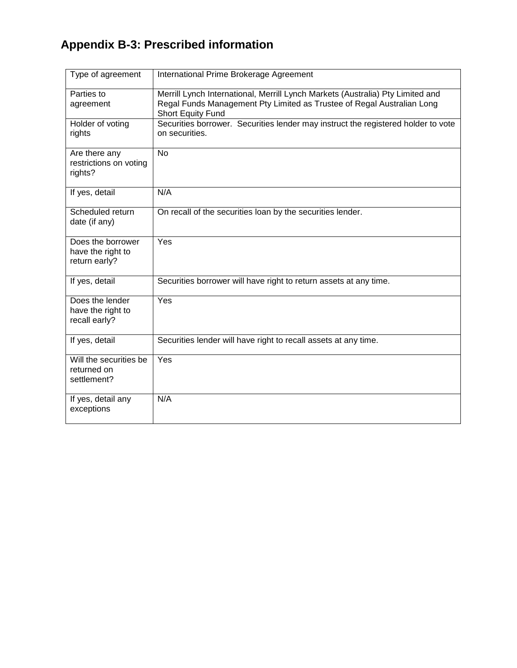## **Appendix B-3: Prescribed information**

| Type of agreement                                       | International Prime Brokerage Agreement                                                                                                                                       |
|---------------------------------------------------------|-------------------------------------------------------------------------------------------------------------------------------------------------------------------------------|
| Parties to<br>agreement                                 | Merrill Lynch International, Merrill Lynch Markets (Australia) Pty Limited and<br>Regal Funds Management Pty Limited as Trustee of Regal Australian Long<br>Short Equity Fund |
| Holder of voting<br>rights                              | Securities borrower. Securities lender may instruct the registered holder to vote<br>on securities.                                                                           |
| Are there any<br>restrictions on voting<br>rights?      | <b>No</b>                                                                                                                                                                     |
| If yes, detail                                          | N/A                                                                                                                                                                           |
| Scheduled return<br>date (if any)                       | On recall of the securities loan by the securities lender.                                                                                                                    |
| Does the borrower<br>have the right to<br>return early? | Yes                                                                                                                                                                           |
| If yes, detail                                          | Securities borrower will have right to return assets at any time.                                                                                                             |
| Does the lender<br>have the right to<br>recall early?   | Yes                                                                                                                                                                           |
| If yes, detail                                          | Securities lender will have right to recall assets at any time.                                                                                                               |
| Will the securities be<br>returned on<br>settlement?    | Yes                                                                                                                                                                           |
| If yes, detail any<br>exceptions                        | N/A                                                                                                                                                                           |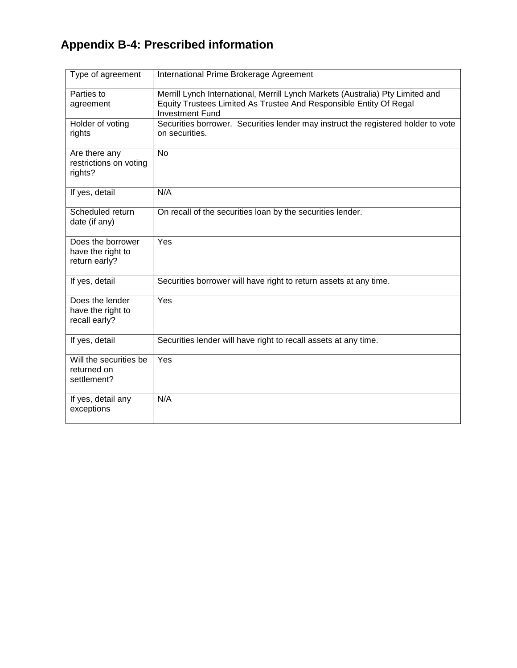## **Appendix B-4: Prescribed information**

| Type of agreement                                       | International Prime Brokerage Agreement                                                                                                                                        |
|---------------------------------------------------------|--------------------------------------------------------------------------------------------------------------------------------------------------------------------------------|
| Parties to<br>agreement                                 | Merrill Lynch International, Merrill Lynch Markets (Australia) Pty Limited and<br>Equity Trustees Limited As Trustee And Responsible Entity Of Regal<br><b>Investment Fund</b> |
| Holder of voting<br>rights                              | Securities borrower. Securities lender may instruct the registered holder to vote<br>on securities.                                                                            |
| Are there any<br>restrictions on voting<br>rights?      | <b>No</b>                                                                                                                                                                      |
| If yes, detail                                          | N/A                                                                                                                                                                            |
| Scheduled return<br>date (if any)                       | On recall of the securities loan by the securities lender.                                                                                                                     |
| Does the borrower<br>have the right to<br>return early? | Yes                                                                                                                                                                            |
| If yes, detail                                          | Securities borrower will have right to return assets at any time.                                                                                                              |
| Does the lender<br>have the right to<br>recall early?   | Yes                                                                                                                                                                            |
| If yes, detail                                          | Securities lender will have right to recall assets at any time.                                                                                                                |
| Will the securities be<br>returned on<br>settlement?    | Yes                                                                                                                                                                            |
| If yes, detail any<br>exceptions                        | N/A                                                                                                                                                                            |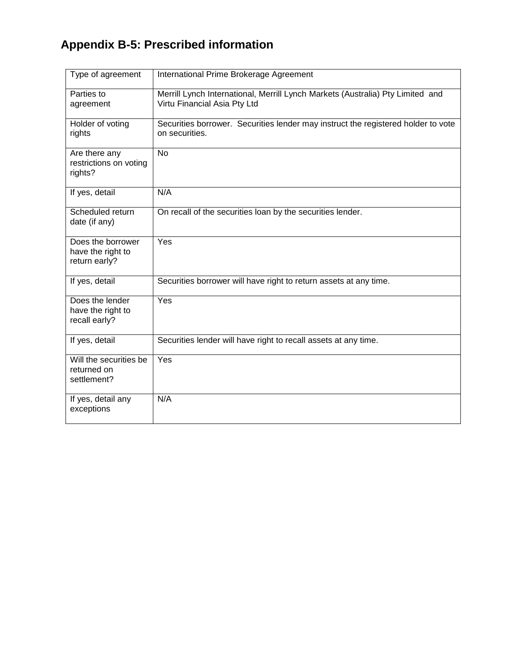## **Appendix B-5: Prescribed information**

| Type of agreement                                       | International Prime Brokerage Agreement                                                                        |
|---------------------------------------------------------|----------------------------------------------------------------------------------------------------------------|
| Parties to<br>agreement                                 | Merrill Lynch International, Merrill Lynch Markets (Australia) Pty Limited and<br>Virtu Financial Asia Pty Ltd |
| Holder of voting<br>rights                              | Securities borrower. Securities lender may instruct the registered holder to vote<br>on securities.            |
| Are there any<br>restrictions on voting<br>rights?      | <b>No</b>                                                                                                      |
| If yes, detail                                          | N/A                                                                                                            |
| Scheduled return<br>date (if any)                       | On recall of the securities loan by the securities lender.                                                     |
| Does the borrower<br>have the right to<br>return early? | Yes                                                                                                            |
| If yes, detail                                          | Securities borrower will have right to return assets at any time.                                              |
| Does the lender<br>have the right to<br>recall early?   | Yes                                                                                                            |
| If yes, detail                                          | Securities lender will have right to recall assets at any time.                                                |
| Will the securities be<br>returned on<br>settlement?    | Yes                                                                                                            |
| If yes, detail any<br>exceptions                        | N/A                                                                                                            |